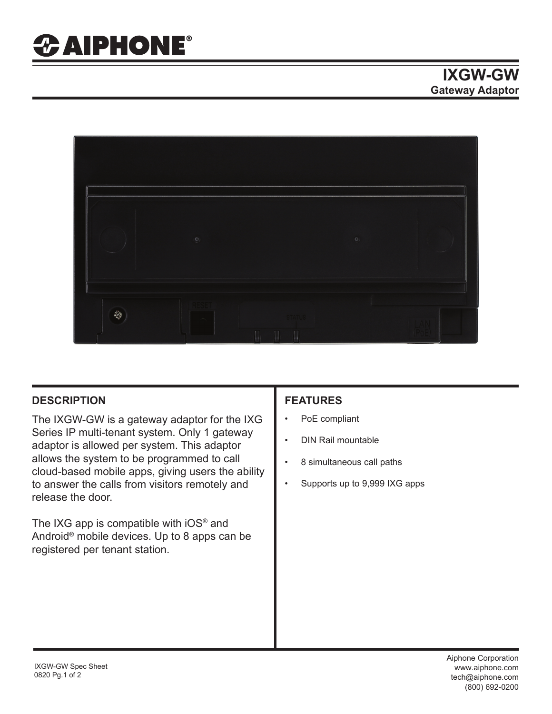

## **DESCRIPTION FEATURES**

The IXGW-GW is a gateway adaptor for the IXG Series IP multi-tenant system. Only 1 gateway adaptor is allowed per system. This adaptor allows the system to be programmed to call cloud-based mobile apps, giving users the ability to answer the calls from visitors remotely and release the door.

The IXG app is compatible with iOS*®* and Android® mobile devices. Up to 8 apps can be registered per tenant station.

- PoE compliant
- DIN Rail mountable
- 8 simultaneous call paths
- Supports up to 9,999 IXG apps